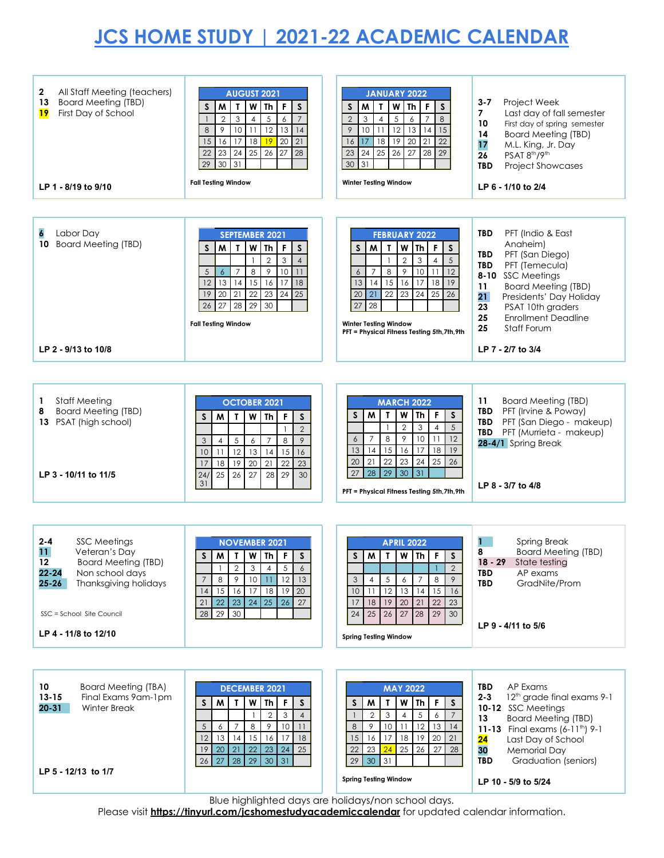## **JCS HOME STUDY | 2021-22 ACADEMIC CALENDAR**

| All Staff Meeting (teachers)<br>2<br><b>Board Meeting (TBD)</b><br>13<br><b>19</b><br>First Day of School<br>LP 1 - 8/19 to 9/10                                                                                     | <b>AUGUST 2021</b><br>l F<br>$\mathsf{s}$<br>$\mathsf{S}$<br>M<br>W<br><b>Th</b><br>T<br>5<br>$\overline{2}$<br>3<br>$\overline{7}$<br>6<br>$\overline{4}$<br>9<br>$10$   11<br>12<br>8<br>13<br>14<br>17<br> 18<br>20<br>15<br>16<br>19<br>21<br>22<br>$23 \mid 24 \mid 25$<br>26<br>27<br>28<br>29<br>30<br>31<br><b>Fall Testing Window</b> | <b>JANUARY 2022</b><br>W<br>Th <sub>1</sub><br>$\mathsf{s}$<br>S<br>M<br>$\mathbf{T}$<br>F<br>$\overline{c}$<br>$\overline{5}$<br>8<br>$\overline{7}$<br>3<br>6<br>$\overline{4}$<br>12<br>9<br>10 <sup>°</sup><br>11<br>13<br> 14<br>15<br> 17<br>$\overline{18}$<br>19<br>$\overline{20}$<br>22<br>16<br>21<br>25<br>26<br>27<br>28<br>29<br>23<br>24<br>30<br>31<br><b>Winter Testing Window</b>  | $3 - 7$<br>Project Week<br>Last day of fall semester<br>7<br>10<br>First day of spring semester<br>14<br><b>Board Meeting (TBD)</b><br>17<br>M.L. King, Jr. Day<br>PSAT 8 <sup>th</sup> /9 <sup>th</sup><br>26<br><b>TBD</b><br><b>Project Showcases</b><br>LP 6 - 1/10 to 2/4                           |
|----------------------------------------------------------------------------------------------------------------------------------------------------------------------------------------------------------------------|------------------------------------------------------------------------------------------------------------------------------------------------------------------------------------------------------------------------------------------------------------------------------------------------------------------------------------------------|------------------------------------------------------------------------------------------------------------------------------------------------------------------------------------------------------------------------------------------------------------------------------------------------------------------------------------------------------------------------------------------------------|----------------------------------------------------------------------------------------------------------------------------------------------------------------------------------------------------------------------------------------------------------------------------------------------------------|
| 6<br>Labor Day<br><b>Board Meeting (TBD)</b><br>10<br>LP 2 - 9/13 to 10/8                                                                                                                                            | <b>SEPTEMBER 2021</b><br>$\mathbf{r}$<br>W<br><b>Th</b><br>F<br>$\mathsf{s}$<br>S<br>M<br>$\overline{2}$<br>3<br>$\overline{4}$<br>9<br>10<br>8<br>5<br>$\overline{7}$<br>11<br>$\epsilon$<br>12<br>13<br>$14$   15<br>  16<br>  17<br>18<br>$20 \mid 21$<br>25<br>19<br>22<br>23<br>24<br>26<br>27 28 29<br>30<br><b>Fall Testing Window</b>  | <b>FEBRUARY 2022</b><br>W<br>Th<br>F<br>M<br>$\mathbf T$<br>S<br>S<br>$\sqrt{2}$<br>3<br>5<br>$\overline{4}$<br>$\overline{1}$<br>$\,8\,$<br>$\,9\,$<br>10<br>11<br>12<br>$\overline{7}$<br>6<br>15<br>13<br> 14<br>16<br>17<br>18<br>19<br>22<br>23<br> 21 <br>24<br>20<br>25<br>26<br>28<br>27<br><b>Winter Testing Window</b><br>PFT = Physical Fitness Testing 5th, 7th, 9th                     | <b>TBD</b><br>PFT (Indio & East<br>Anaheim)<br>TBD<br>PFT (San Diego)<br><b>TBD</b><br>PFT (Temecula)<br>8-10 SSC Meetings<br><b>Board Meeting (TBD)</b><br>11<br>21<br>Presidents' Day Holiday<br>23<br>PSAT 10th graders<br>25<br><b>Enrollment Deadline</b><br>Staff Forum<br>25<br>LP 7 - 2/7 to 3/4 |
| <b>Staff Meeting</b><br>1<br><b>Board Meeting (TBD)</b><br>8<br>13 PSAT (high school)<br>LP 3 - 10/11 to 11/5                                                                                                        | <b>OCTOBER 2021</b><br>W<br>F<br>$\mathsf{s}$<br>M<br>Th<br>S<br>т<br>$\mathbf{2}$<br>5<br>8<br>9<br>3<br>$\overline{7}$<br>$\overline{4}$<br>6<br>10<br>12<br>13<br>15<br>11<br>14<br>16<br>$\overline{20}$<br>23<br>18<br>19<br>22<br>17<br>21<br>25<br>26<br>27<br>28<br>29<br>24/<br>30<br>31                                              | <b>MARCH 2022</b><br>W<br>Th<br>F<br>M<br>T<br>S<br>S<br>$\overline{2}$<br>$\ensuremath{\mathsf{3}}$<br>$\mathbf{1}$<br>$\overline{4}$<br>5<br>$\boldsymbol{8}$<br>9<br>10<br>$\overline{7}$<br>11<br>12<br>6<br>13<br>15<br>18<br>14<br>16<br>17<br>19<br>21<br>22<br>23<br>24<br>25<br>20<br>26<br>27<br>28<br>29<br>30<br>31<br>PFT = Physical Fitness Testing 5th, 7th, 9th                      | 11<br><b>Board Meeting (TBD)</b><br><b>TBD</b><br>PFT (Irvine & Poway)<br>TBD PFT (San Diego - makeup)<br>PFT (Murrieta - makeup)<br><b>TBD</b><br>28-4/1 Spring Break<br>LP 8 - 3/7 to 4/8                                                                                                              |
| $2 - 4$<br><b>SSC Meetings</b><br>11<br>Veteran's Day<br><b>Board Meeting (TBD)</b><br>12<br>$22 - 24$<br>Non school days<br>$25 - 26$<br>Thanksgiving holidays<br>SSC = School Site Council<br>LP 4 - 11/8 to 12/10 | <b>NOVEMBER 2021</b><br>M I I<br>$W$ Th $F$<br>$\mathsf{S}$<br>S.<br>5<br>$\overline{2}$<br>3<br>6<br>$\overline{4}$<br>$\circ$<br>10<br>12<br>13<br>8<br>11<br>$\overline{7}$<br>15<br>18<br>19<br>16<br>17<br>20<br>14<br>22<br>21<br>23<br>24<br>25<br>27<br>26<br>28<br>29<br>30                                                           | <b>APRIL 2022</b><br>$S$ $M$ $T$ $W$ $Th$ $F$ $S$<br>$\overline{2}$<br>8<br>$\overline{4}$<br>5<br>$\boldsymbol{6}$<br>$\overline{7}$<br>9<br>3<br>12<br>13<br>11<br>14<br>15<br>10<br>16<br>17<br>18 19<br>20<br>21<br>22<br>23<br>25 26 27<br>28<br>29<br>24<br>30<br><b>Spring Testing Window</b>                                                                                                 | <b>Spring Break</b><br>8<br><b>Board Meeting (TBD)</b><br>18 - 29 -<br>State testing<br>AP exams<br>TBD<br><b>TBD</b><br>GradNite/Prom<br>LP 9 - 4/11 to 5/6                                                                                                                                             |
| 10 <sup>°</sup><br><b>Board Meeting (TBA)</b><br>$13 - 15$<br>Final Exams 9am-1pm<br>$20 - 31$<br>Winter Break<br>LP 5 - 12/13 to 1/7                                                                                | <b>DECEMBER 2021</b><br>W<br>Th<br>l F<br>S<br>S<br>M<br>т<br>3<br>$\overline{2}$<br>$\overline{4}$<br>8<br>9<br>10<br>5<br>$\overline{7}$<br>11<br>6<br>12<br>13<br>15<br>  16<br> 14<br>17<br>18<br>25<br>20<br>21<br>22<br>23<br>19<br>24<br>27<br>$28 \mid 29 \mid 30 \mid 31$<br>26                                                       | <b>MAY 2022</b><br>$\boldsymbol{\mathsf{W}}$<br>$\mathbf T$<br><b>Th</b><br>$\mathsf F$<br>S<br>W<br>S<br>$\mathsf 3$<br>$\sqrt{5}$<br>$\overline{4}$<br>6<br>$\overline{7}$<br>$\overline{2}$<br>10<br>12<br>$\,8\,$<br>$\overline{9}$<br>$\overline{11}$<br>13<br>14<br>17 18 19 20<br>15<br>16<br>21<br>$25 \mid 26$<br>23<br>24<br>22<br>27<br>28<br>30 31<br>29<br><b>Spring Testing Window</b> | TBD<br>AP Exams<br>$2 - 3$<br>12 <sup>th</sup> grade final exams 9-1<br>10-12 SSC Meetings<br><b>Board Meeting (TBD)</b><br>13<br>11-13 Final exams (6-11 <sup>th</sup> ) 9-1<br>Last Day of School<br>24<br>30<br>Memorial Day<br><b>TBD</b><br>Graduation (seniors)<br>LP 10 - 5/9 to 5/24             |

Blue highlighted days are holidays/non school days.

Please visit **<https://tinyurl.com/jcshomestudyacademiccalendar>** for updated calendar information.